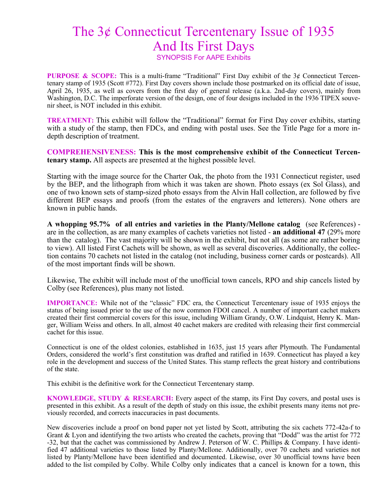## The 3¢ Connecticut Tercentenary Issue of 1935 And Its First Days

SYNOPSIS For AAPE Exhibits

**PURPOSE & SCOPE:** This is a multi-frame "Traditional" First Day exhibit of the 3¢ Connecticut Tercentenary stamp of 1935 (Scott #772). First Day covers shown include those postmarked on its official date of issue, April 26, 1935, as well as covers from the first day of general release (a.k.a. 2nd-day covers), mainly from Washington, D.C. The imperforate version of the design, one of four designs included in the 1936 TIPEX souvenir sheet, is NOT included in this exhibit.

**TREATMENT:** This exhibit will follow the "Traditional" format for First Day cover exhibits, starting with a study of the stamp, then FDCs, and ending with postal uses. See the Title Page for a more indepth description of treatment.

**COMPREHENSIVENESS: This is the most comprehensive exhibit of the Connecticut Tercentenary stamp.** All aspects are presented at the highest possible level.

Starting with the image source for the Charter Oak, the photo from the 1931 Connecticut register, used by the BEP, and the lithograph from which it was taken are shown. Photo essays (ex Sol Glass), and one of two known sets of stamp-sized photo essays from the Alvin Hall collection, are followed by five different BEP essays and proofs (from the estates of the engravers and letterers). None others are known in public hands.

**A whopping 95.7% of all entries and varieties in the Planty/Mellone catalog** (see References) are in the collection, as are many examples of cachets varieties not listed - **an additional 47** (29% more than the catalog). The vast majority will be shown in the exhibit, but not all (as some are rather boring to view). All listed First Cachets will be shown, as well as several discoveries. Additionally, the collection contains 70 cachets not listed in the catalog (not including, business corner cards or postcards). All of the most important finds will be shown.

Likewise, The exhibit will include most of the unofficial town cancels, RPO and ship cancels listed by Colby (see References), plus many not listed.

**IMPORTANCE:** While not of the "classic" FDC era, the Connecticut Tercentenary issue of 1935 enjoys the status of being issued prior to the use of the now common FDOI cancel. A number of important cachet makers created their first commercial covers for this issue, including William Grandy, O.W. Lindquist, Henry K. Manger, William Weiss and others. In all, almost 40 cachet makers are credited with releasing their first commercial cachet for this issue.

Connecticut is one of the oldest colonies, established in 1635, just 15 years after Plymouth. The Fundamental Orders, considered the world's first constitution was drafted and ratified in 1639. Connecticut has played a key role in the development and success of the United States. This stamp reflects the great history and contributions of the state.

This exhibit is the definitive work for the Connecticut Tercentenary stamp.

**KNOWLEDGE, STUDY & RESEARCH:** Every aspect of the stamp, its First Day covers, and postal uses is presented in this exhibit. As a result of the depth of study on this issue, the exhibit presents many items not previously recorded, and corrects inaccuracies in past documents.

New discoveries include a proof on bond paper not yet listed by Scott, attributing the six cachets 772-42a-f to Grant & Lyon and identifying the two artists who created the cachets, proving that "Dodd" was the artist for 772 -32, but that the cachet was commissioned by Andrew J. Peterson of W. C. Phillips & Company. I have identified 47 additional varieties to those listed by Planty/Mellone. Additionally, over 70 cachets and varieties not listed by Planty/Mellone have been identified and documented. Likewise, over 30 unofficial towns have been added to the list compiled by Colby. While Colby only indicates that a cancel is known for a town, this